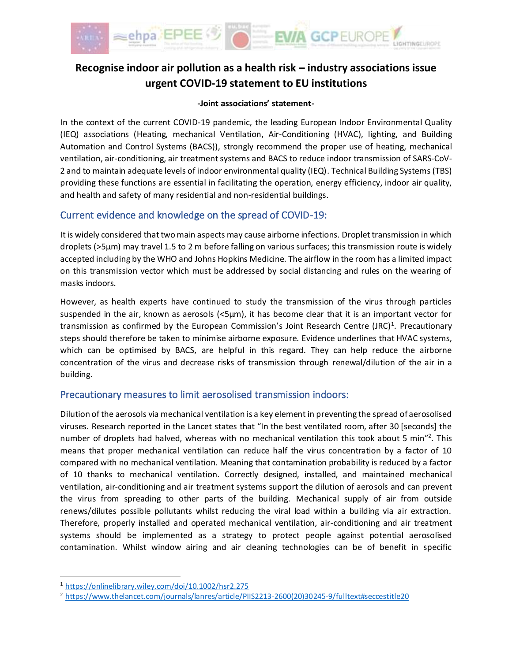

# **Recognise indoor air pollution as a health risk – industry associations issue urgent COVID-19 statement to EU institutions**

## **-Joint associations' statement-**

In the context of the current COVID-19 pandemic, the leading European Indoor Environmental Quality (IEQ) associations (Heating, mechanical Ventilation, Air-Conditioning (HVAC), lighting, and Building Automation and Control Systems (BACS)), strongly recommend the proper use of heating, mechanical ventilation, air-conditioning, air treatment systems and BACS to reduce indoor transmission of SARS-CoV-2 and to maintain adequate levels of indoor environmental quality (IEQ). Technical Building Systems (TBS) providing these functions are essential in facilitating the operation, energy efficiency, indoor air quality, and health and safety of many residential and non-residential buildings.

# Current evidence and knowledge on the spread of COVID-19:

It is widely considered that two main aspects may cause airborne infections. Droplet transmission in which droplets (>5µm) may travel 1.5 to 2 m before falling on various surfaces; this transmission route is widely accepted including by the WHO and Johns Hopkins Medicine. The airflow in the room has a limited impact on this transmission vector which must be addressed by social distancing and rules on the wearing of masks indoors.

However, as health experts have continued to study the transmission of the virus through particles suspended in the air, known as aerosols (<5µm), it has become clear that it is an important vector for transmission as confirmed by the European Commission's Joint Research Centre (JRC)<sup>1</sup>. Precautionary steps should therefore be taken to minimise airborne exposure. Evidence underlines that HVAC systems, which can be optimised by BACS, are helpful in this regard. They can help reduce the airborne concentration of the virus and decrease risks of transmission through renewal/dilution of the air in a building.

# Precautionary measures to limit aerosolised transmission indoors:

Dilution of the aerosols via mechanical ventilation is a key element in preventing the spread of aerosolised viruses. Research reported in the Lancet states that "In the best ventilated room, after 30 [seconds] the number of droplets had halved, whereas with no mechanical ventilation this took about 5 min"<sup>2</sup>. This means that proper mechanical ventilation can reduce half the virus concentration by a factor of 10 compared with no mechanical ventilation. Meaning that contamination probability is reduced by a factor of 10 thanks to mechanical ventilation. Correctly designed, installed, and maintained mechanical ventilation, air-conditioning and air treatment systems support the dilution of aerosols and can prevent the virus from spreading to other parts of the building. Mechanical supply of air from outside renews/dilutes possible pollutants whilst reducing the viral load within a building via air extraction. Therefore, properly installed and operated mechanical ventilation, air-conditioning and air treatment systems should be implemented as a strategy to protect people against potential aerosolised contamination. Whilst window airing and air cleaning technologies can be of benefit in specific

<sup>1</sup> <https://onlinelibrary.wiley.com/doi/10.1002/hsr2.275>

<sup>2</sup> [https://www.thelancet.com/journals/lanres/article/PIIS2213-2600\(20\)30245-9/fulltext#seccestitle20](https://www.thelancet.com/journals/lanres/article/PIIS2213-2600(20)30245-9/fulltext#seccestitle20)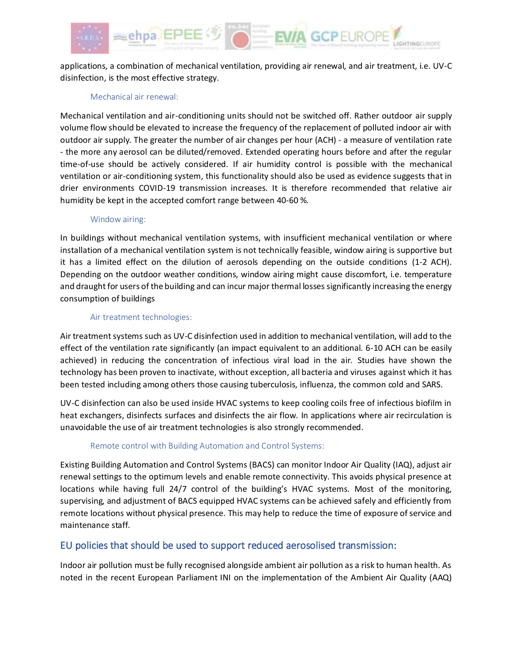

applications, a combination of mechanical ventilation, providing air renewal, and air treatment, i.e. UV-C disinfection, is the most effective strategy.

### Mechanical air renewal:

Mechanical ventilation and air-conditioning units should not be switched off. Rather outdoor air supply volume flow should be elevated to increase the frequency of the replacement of polluted indoor air with outdoor air supply. The greater the number of air changes per hour (ACH) - a measure of ventilation rate - the more any aerosol can be diluted/removed. Extended operating hours before and after the regular time-of-use should be actively considered. If air humidity control is possible with the mechanical ventilation or air-conditioning system, this functionality should also be used as evidence suggests that in drier environments COVID-19 transmission increases. It is therefore recommended that relative air humidity be kept in the accepted comfort range between 40-60 %.

#### Window airing:

In buildings without mechanical ventilation systems, with insufficient mechanical ventilation or where installation of a mechanical ventilation system is not technically feasible, window airing is supportive but it has a limited effect on the dilution of aerosols depending on the outside conditions (1-2 ACH). Depending on the outdoor weather conditions, window airing might cause discomfort, i.e. temperature and draught for users of the building and can incur major thermal losses significantly increasing the energy consumption of buildings

#### Air treatment technologies:

Air treatment systems such as UV-C disinfection used in addition to mechanical ventilation, will add to the effect of the ventilation rate significantly (an impact equivalent to an additional. 6-10 ACH can be easily achieved) in reducing the concentration of infectious viral load in the air. Studies have shown the technology has been proven to inactivate, without exception, all bacteria and viruses against which it has been tested including among others those causing tuberculosis, influenza, the common cold and SARS.

UV-C disinfection can also be used inside HVAC systems to keep cooling coils free of infectious biofilm in heat exchangers, disinfects surfaces and disinfects the air flow. In applications where air recirculation is unavoidable the use of air treatment technologies is also strongly recommended.

### Remote control with Building Automation and Control Systems:

Existing Building Automation and Control Systems (BACS) can monitor Indoor Air Quality (IAQ), adjust air renewal settings to the optimum levels and enable remote connectivity. This avoids physical presence at locations while having full 24/7 control of the building's HVAC systems. Most of the monitoring, supervising, and adjustment of BACS equipped HVAC systems can be achieved safely and efficiently from remote locations without physical presence. This may help to reduce the time of exposure of service and maintenance staff.

# EU policies that should be used to support reduced aerosolised transmission:

Indoor air pollution must be fully recognised alongside ambient air pollution as a risk to human health. As noted in the recent European Parliament INI on the implementation of the Ambient Air Quality (AAQ)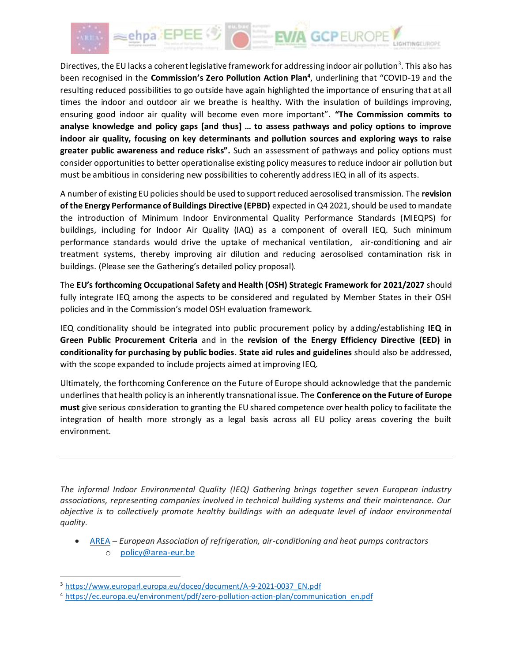

Directives, the EU lacks a coherent legislative framework for addressing indoor air pollution<sup>3</sup>. This also has been recognised in the **Commission's Zero Pollution Action Plan<sup>4</sup>** , underlining that "COVID-19 and the resulting reduced possibilities to go outside have again highlighted the importance of ensuring that at all times the indoor and outdoor air we breathe is healthy. With the insulation of buildings improving, ensuring good indoor air quality will become even more important". **"The Commission commits to analyse knowledge and policy gaps [and thus] … to assess pathways and policy options to improve indoor air quality, focusing on key determinants and pollution sources and exploring ways to raise greater public awareness and reduce risks".** Such an assessment of pathways and policy options must consider opportunities to better operationalise existing policy measures to reduce indoor air pollution but must be ambitious in considering new possibilities to coherently address IEQ in all of its aspects.

A number of existing EU policies should be used to support reduced aerosolised transmission. The **revision of the Energy Performance of Buildings Directive (EPBD)** expected in Q4 2021, should be used to mandate the introduction of Minimum Indoor Environmental Quality Performance Standards (MIEQPS) for buildings, including for Indoor Air Quality (IAQ) as a component of overall IEQ. Such minimum performance standards would drive the uptake of mechanical ventilation, air-conditioning and air treatment systems, thereby improving air dilution and reducing aerosolised contamination risk in buildings. (Please see the Gathering's detailed policy proposal).

The **EU's forthcoming Occupational Safety and Health (OSH) Strategic Framework for 2021/2027** should fully integrate IEQ among the aspects to be considered and regulated by Member States in their OSH policies and in the Commission's model OSH evaluation framework.

IEQ conditionality should be integrated into public procurement policy by adding/establishing **IEQ in Green Public Procurement Criteria** and in the **revision of the Energy Efficiency Directive (EED) in conditionality for purchasing by public bodies**. **State aid rules and guidelines** should also be addressed, with the scope expanded to include projects aimed at improving IEQ.

Ultimately, the forthcoming Conference on the Future of Europe should acknowledge that the pandemic underlines that health policy is an inherently transnational issue. The **Conference on the Future of Europe must** give serious consideration to granting the EU shared competence over health policy to facilitate the integration of health more strongly as a legal basis across all EU policy areas covering the built environment.

*The informal Indoor Environmental Quality (IEQ) Gathering brings together seven European industry associations, representing companies involved in technical building systems and their maintenance. Our objective is to collectively promote healthy buildings with an adequate level of indoor environmental quality.* 

• [AREA](http://www.area-eur.be/) – *European Association of refrigeration, air-conditioning and heat pumps contractors* o [policy@area-eur.be](mailto:policy@area-eur.be)

<sup>3</sup> [https://www.europarl.europa.eu/doceo/document/A-9-2021-0037\\_EN.pdf](https://www.europarl.europa.eu/doceo/document/A-9-2021-0037_EN.pdf)

<sup>4</sup> [https://ec.europa.eu/environment/pdf/zero-pollution-action-plan/communication\\_en.pdf](https://ec.europa.eu/environment/pdf/zero-pollution-action-plan/communication_en.pdf)